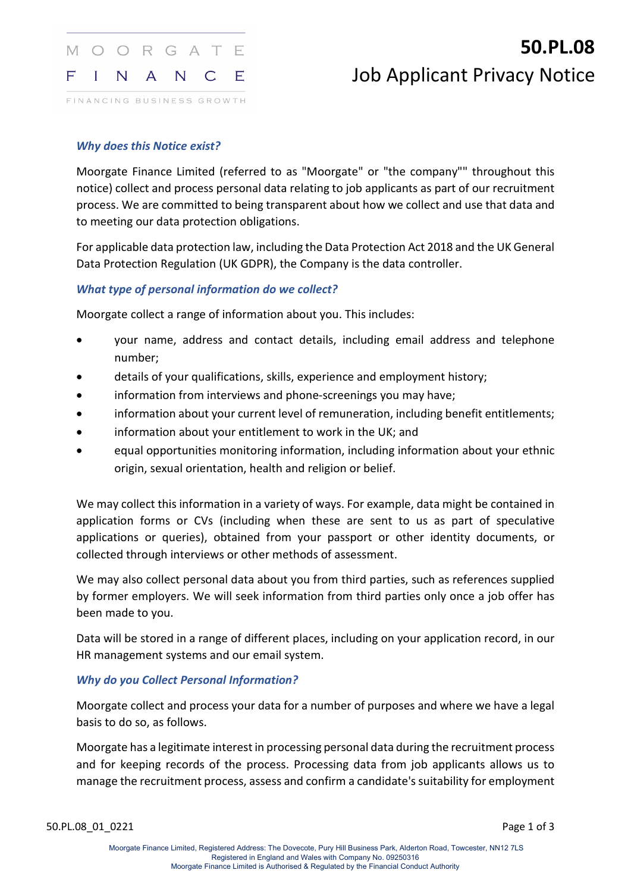

FINANCING BUSINESS GROWTH

# **50.PL.08** Job Applicant Privacy Notice

#### *Why does this Notice exist?*

Moorgate Finance Limited (referred to as "Moorgate" or "the company"" throughout this notice) collect and process personal data relating to job applicants as part of our recruitment process. We are committed to being transparent about how we collect and use that data and to meeting our data protection obligations.

For applicable data protection law, including the Data Protection Act 2018 and the UK General Data Protection Regulation (UK GDPR), the Company is the data controller.

## *What type of personal information do we collect?*

Moorgate collect a range of information about you. This includes:

- your name, address and contact details, including email address and telephone number;
- details of your qualifications, skills, experience and employment history;
- information from interviews and phone-screenings you may have;
- information about your current level of remuneration, including benefit entitlements;
- information about your entitlement to work in the UK; and
- equal opportunities monitoring information, including information about your ethnic origin, sexual orientation, health and religion or belief.

We may collect this information in a variety of ways. For example, data might be contained in application forms or CVs (including when these are sent to us as part of speculative applications or queries), obtained from your passport or other identity documents, or collected through interviews or other methods of assessment.

We may also collect personal data about you from third parties, such as references supplied by former employers. We will seek information from third parties only once a job offer has been made to you.

Data will be stored in a range of different places, including on your application record, in our HR management systems and our email system.

## *Why do you Collect Personal Information?*

Moorgate collect and process your data for a number of purposes and where we have a legal basis to do so, as follows.

Moorgate has a legitimate interest in processing personal data during the recruitment process and for keeping records of the process. Processing data from job applicants allows us to manage the recruitment process, assess and confirm a candidate's suitability for employment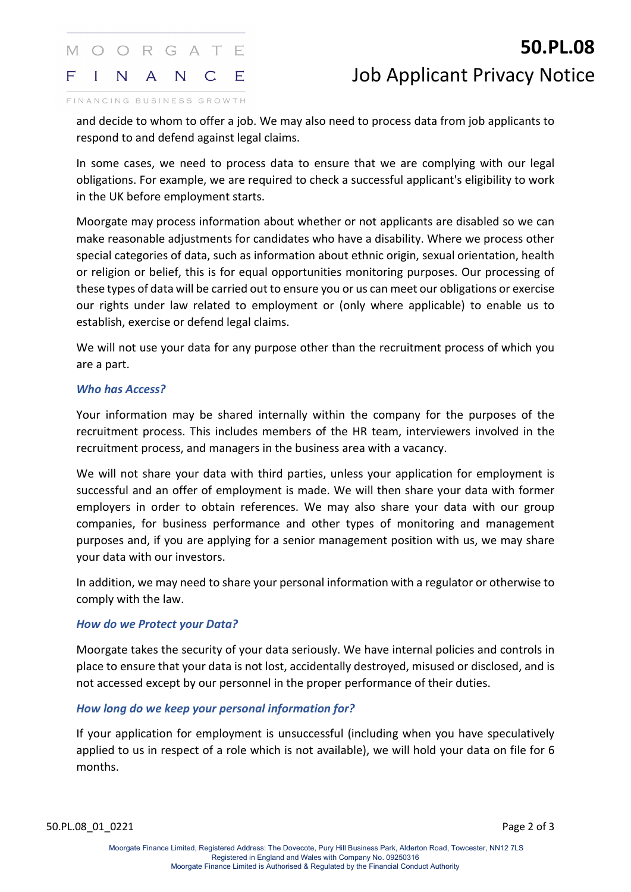#### MOORGATE  $\mathsf F$  $\mathbf{I}$ N | A N  $\mathsf{C}$ E

# **50.PL.08** Job Applicant Privacy Notice

FINANCING BUSINESS GROWTH

and decide to whom to offer a job. We may also need to process data from job applicants to respond to and defend against legal claims.

In some cases, we need to process data to ensure that we are complying with our legal obligations. For example, we are required to check a successful applicant's eligibility to work in the UK before employment starts.

Moorgate may process information about whether or not applicants are disabled so we can make reasonable adjustments for candidates who have a disability. Where we process other special categories of data, such as information about ethnic origin, sexual orientation, health or religion or belief, this is for equal opportunities monitoring purposes. Our processing of these types of data will be carried out to ensure you or us can meet our obligations or exercise our rights under law related to employment or (only where applicable) to enable us to establish, exercise or defend legal claims.

We will not use your data for any purpose other than the recruitment process of which you are a part.

## *Who has Access?*

Your information may be shared internally within the company for the purposes of the recruitment process. This includes members of the HR team, interviewers involved in the recruitment process, and managers in the business area with a vacancy.

We will not share your data with third parties, unless your application for employment is successful and an offer of employment is made. We will then share your data with former employers in order to obtain references. We may also share your data with our group companies, for business performance and other types of monitoring and management purposes and, if you are applying for a senior management position with us, we may share your data with our investors.

In addition, we may need to share your personal information with a regulator or otherwise to comply with the law.

## *How do we Protect your Data?*

Moorgate takes the security of your data seriously. We have internal policies and controls in place to ensure that your data is not lost, accidentally destroyed, misused or disclosed, and is not accessed except by our personnel in the proper performance of their duties.

## *How long do we keep your personal information for?*

If your application for employment is unsuccessful (including when you have speculatively applied to us in respect of a role which is not available), we will hold your data on file for 6 months.